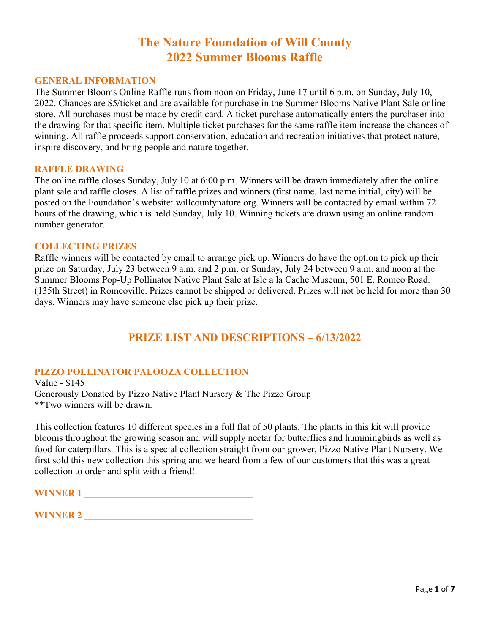# **The Nature Foundation of Will County 2022 Summer Blooms Raffle**

#### **GENERAL INFORMATION**

The Summer Blooms Online Raffle runs from noon on Friday, June 17 until 6 p.m. on Sunday, July 10, 2022. Chances are \$5/ticket and are available for purchase in the Summer Blooms Native Plant Sale online store. All purchases must be made by credit card. A ticket purchase automatically enters the purchaser into the drawing for that specific item. Multiple ticket purchases for the same raffle item increase the chances of winning. All raffle proceeds support conservation, education and recreation initiatives that protect nature, inspire discovery, and bring people and nature together.

#### **RAFFLE DRAWING**

The online raffle closes Sunday, July 10 at 6:00 p.m. Winners will be drawn immediately after the online plant sale and raffle closes. A list of raffle prizes and winners (first name, last name initial, city) will be posted on the Foundation's website: willcountynature.org. Winners will be contacted by email within 72 hours of the drawing, which is held Sunday, July 10. Winning tickets are drawn using an online random number generator.

#### **COLLECTING PRIZES**

Raffle winners will be contacted by email to arrange pick up. Winners do have the option to pick up their prize on Saturday, July 23 between 9 a.m. and 2 p.m. or Sunday, July 24 between 9 a.m. and noon at the Summer Blooms Pop-Up Pollinator Native Plant Sale at Isle a la Cache Museum, 501 E. Romeo Road. (135th Street) in Romeoville. Prizes cannot be shipped or delivered. Prizes will not be held for more than 30 days. Winners may have someone else pick up their prize.

## **PRIZE LIST AND DESCRIPTIONS – 6/13/2022**

### **PIZZO POLLINATOR PALOOZA COLLECTION**

Value - \$145 Generously Donated by Pizzo Native Plant Nursery & The Pizzo Group \*\*Two winners will be drawn.

This collection features 10 different species in a full flat of 50 plants. The plants in this kit will provide blooms throughout the growing season and will supply nectar for butterflies and hummingbirds as well as food for caterpillars. This is a special collection straight from our grower, Pizzo Native Plant Nursery. We first sold this new collection this spring and we heard from a few of our customers that this was a great collection to order and split with a friend!

**WINNER 1** 

| WINNED 2<br>WINNER 4 |  |
|----------------------|--|
|----------------------|--|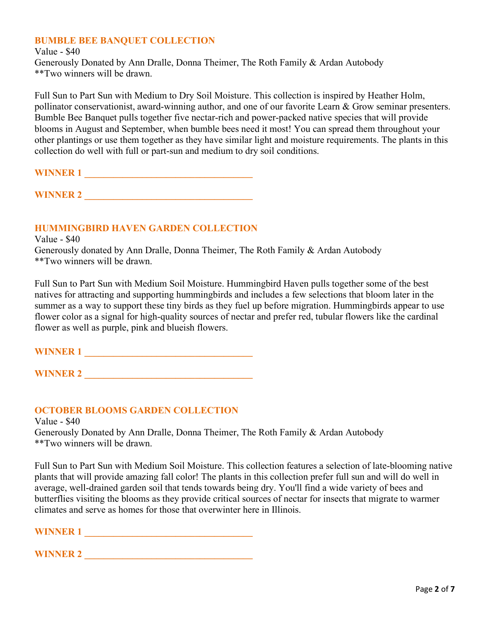## **BUMBLE BEE BANQUET COLLECTION**

Value - \$40 Generously Donated by Ann Dralle, Donna Theimer, The Roth Family & Ardan Autobody \*\*Two winners will be drawn.

Full Sun to Part Sun with Medium to Dry Soil Moisture. This collection is inspired by Heather Holm, pollinator conservationist, award-winning author, and one of our favorite Learn & Grow seminar presenters. Bumble Bee Banquet pulls together five nectar-rich and power-packed native species that will provide blooms in August and September, when bumble bees need it most! You can spread them throughout your other plantings or use them together as they have similar light and moisture requirements. The plants in this collection do well with full or part-sun and medium to dry soil conditions.

**WINNER 1** 

**WINNER 2** 

#### **HUMMINGBIRD HAVEN GARDEN COLLECTION**

Value - \$40

Generously donated by Ann Dralle, Donna Theimer, The Roth Family & Ardan Autobody \*\*Two winners will be drawn.

Full Sun to Part Sun with Medium Soil Moisture. Hummingbird Haven pulls together some of the best natives for attracting and supporting hummingbirds and includes a few selections that bloom later in the summer as a way to support these tiny birds as they fuel up before migration. Hummingbirds appear to use flower color as a signal for high-quality sources of nectar and prefer red, tubular flowers like the cardinal flower as well as purple, pink and blueish flowers.

| <b>WINNER 1</b> |  |  |  |
|-----------------|--|--|--|
|                 |  |  |  |

**WINNER 2 \_\_\_\_\_\_\_\_\_\_\_\_\_\_\_\_\_\_\_\_\_\_\_\_\_\_\_\_\_\_\_\_\_\_\_**

### **OCTOBER BLOOMS GARDEN COLLECTION**

Value - \$40 Generously Donated by Ann Dralle, Donna Theimer, The Roth Family & Ardan Autobody \*\*Two winners will be drawn.

Full Sun to Part Sun with Medium Soil Moisture. This collection features a selection of late-blooming native plants that will provide amazing fall color! The plants in this collection prefer full sun and will do well in average, well-drained garden soil that tends towards being dry. You'll find a wide variety of bees and butterflies visiting the blooms as they provide critical sources of nectar for insects that migrate to warmer climates and serve as homes for those that overwinter here in Illinois.

**WINNER 1 \_\_\_\_\_\_\_\_\_\_\_\_\_\_\_\_\_\_\_\_\_\_\_\_\_\_\_\_\_\_\_\_\_\_\_**

| <b>TED A</b><br><b>TY</b><br>the contract of the contract of the contract of<br>the contract of the contract of the contract of the contract of the contract of the contract of the contract of |  |
|-------------------------------------------------------------------------------------------------------------------------------------------------------------------------------------------------|--|
|                                                                                                                                                                                                 |  |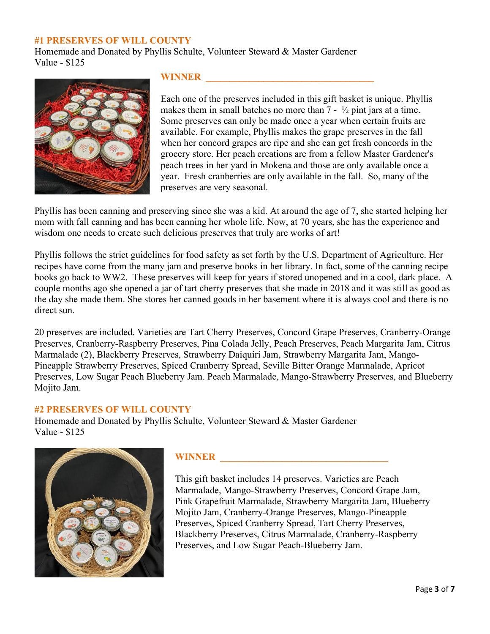#### **#1 PRESERVES OF WILL COUNTY**

Homemade and Donated by Phyllis Schulte, Volunteer Steward & Master Gardener Value - \$125



## **WINNER \_\_\_\_\_\_\_\_\_\_\_\_\_\_\_\_\_\_\_\_\_\_\_\_\_\_\_\_\_\_\_\_\_\_\_**

Each one of the preserves included in this gift basket is unique. Phyllis makes them in small batches no more than 7 -  $\frac{1}{2}$  pint jars at a time. Some preserves can only be made once a year when certain fruits are available. For example, Phyllis makes the grape preserves in the fall when her concord grapes are ripe and she can get fresh concords in the grocery store. Her peach creations are from a fellow Master Gardener's peach trees in her yard in Mokena and those are only available once a year. Fresh cranberries are only available in the fall. So, many of the preserves are very seasonal.

Phyllis has been canning and preserving since she was a kid. At around the age of 7, she started helping her mom with fall canning and has been canning her whole life. Now, at 70 years, she has the experience and wisdom one needs to create such delicious preserves that truly are works of art!

Phyllis follows the strict guidelines for food safety as set forth by the U.S. Department of Agriculture. Her recipes have come from the many jam and preserve books in her library. In fact, some of the canning recipe books go back to WW2. These preserves will keep for years if stored unopened and in a cool, dark place. A couple months ago she opened a jar of tart cherry preserves that she made in 2018 and it was still as good as the day she made them. She stores her canned goods in her basement where it is always cool and there is no direct sun.

20 preserves are included. Varieties are Tart Cherry Preserves, Concord Grape Preserves, Cranberry-Orange Preserves, Cranberry-Raspberry Preserves, Pina Colada Jelly, Peach Preserves, Peach Margarita Jam, Citrus Marmalade (2), Blackberry Preserves, Strawberry Daiquiri Jam, Strawberry Margarita Jam, Mango-Pineapple Strawberry Preserves, Spiced Cranberry Spread, Seville Bitter Orange Marmalade, Apricot Preserves, Low Sugar Peach Blueberry Jam. Peach Marmalade, Mango-Strawberry Preserves, and Blueberry Mojito Jam.

#### **#2 PRESERVES OF WILL COUNTY**

Homemade and Donated by Phyllis Schulte, Volunteer Steward & Master Gardener Value - \$125



## WINNER **WINNER**

This gift basket includes 14 preserves. Varieties are Peach Marmalade, Mango-Strawberry Preserves, Concord Grape Jam, Pink Grapefruit Marmalade, Strawberry Margarita Jam, Blueberry Mojito Jam, Cranberry-Orange Preserves, Mango-Pineapple Preserves, Spiced Cranberry Spread, Tart Cherry Preserves, Blackberry Preserves, Citrus Marmalade, Cranberry-Raspberry Preserves, and Low Sugar Peach-Blueberry Jam.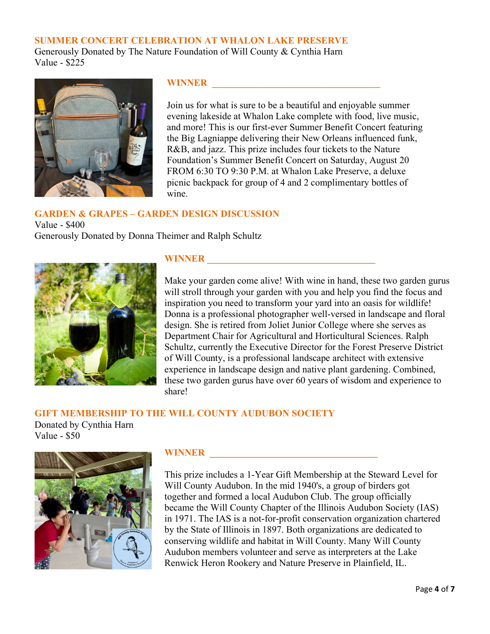#### **SUMMER CONCERT CELEBRATION AT WHALON LAKE PRESERVE**

Generously Donated by The Nature Foundation of Will County & Cynthia Harn Value - \$225



## **WINNER**

Join us for what is sure to be a beautiful and enjoyable summer evening lakeside at Whalon Lake complete with food, live music, and more! This is our first-ever Summer Benefit Concert featuring the Big Lagniappe delivering their New Orleans influenced funk, R&B, and jazz. This prize includes four tickets to the Nature Foundation's Summer Benefit Concert on Saturday, August 20 FROM 6:30 TO 9:30 P.M. at Whalon Lake Preserve, a deluxe picnic backpack for group of 4 and 2 complimentary bottles of wine.

## **GARDEN & GRAPES – GARDEN DESIGN DISCUSSION**

Value - \$400 Generously Donated by Donna Theimer and Ralph Schultz



## **WINNER \_\_\_\_\_\_\_\_\_\_\_\_\_\_\_\_\_\_\_\_\_\_\_\_\_\_\_\_\_\_\_\_\_\_\_**

Make your garden come alive! With wine in hand, these two garden gurus will stroll through your garden with you and help you find the focus and inspiration you need to transform your yard into an oasis for wildlife! Donna is a professional photographer well-versed in landscape and floral design. She is retired from Joliet Junior College where she serves as Department Chair for Agricultural and Horticultural Sciences. Ralph Schultz, currently the Executive Director for the Forest Preserve District of Will County, is a professional landscape architect with extensive experience in landscape design and native plant gardening. Combined, these two garden gurus have over 60 years of wisdom and experience to share!

## **GIFT MEMBERSHIP TO THE WILL COUNTY AUDUBON SOCIETY**

Donated by Cynthia Harn Value - \$50



## WINNER **WINNER**

This prize includes a 1-Year Gift Membership at the Steward Level for Will County Audubon. In the mid 1940's, a group of birders got together and formed a local Audubon Club. The group officially became the Will County Chapter of the Illinois Audubon Society (IAS) in 1971. The IAS is a not-for-profit conservation organization chartered by the State of Illinois in 1897. Both organizations are dedicated to conserving wildlife and habitat in Will County. Many Will County Audubon members volunteer and serve as interpreters at the Lake Renwick Heron Rookery and Nature Preserve in Plainfield, IL.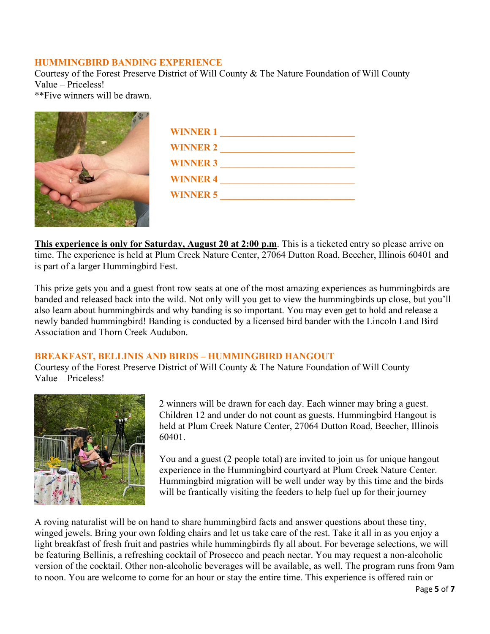## **HUMMINGBIRD BANDING EXPERIENCE**

Courtesy of the Forest Preserve District of Will County & The Nature Foundation of Will County Value – Priceless!

\*\*Five winners will be drawn.

| <b>WINNER 1</b> |
|-----------------|
| <b>WINNER 2</b> |
| <b>WINNER 3</b> |
| <b>WINNER 4</b> |
| <b>WINNER 5</b> |
|                 |

**This experience is only for Saturday, August 20 at 2:00 p.m**. This is a ticketed entry so please arrive on time. The experience is held at Plum Creek Nature Center, 27064 Dutton Road, Beecher, Illinois 60401 and is part of a larger Hummingbird Fest.

This prize gets you and a guest front row seats at one of the most amazing experiences as hummingbirds are banded and released back into the wild. Not only will you get to view the hummingbirds up close, but you'll also learn about hummingbirds and why banding is so important. You may even get to hold and release a newly banded hummingbird! Banding is conducted by a licensed bird bander with the Lincoln Land Bird Association and Thorn Creek Audubon.

## **BREAKFAST, BELLINIS AND BIRDS – HUMMINGBIRD HANGOUT**

Courtesy of the Forest Preserve District of Will County & The Nature Foundation of Will County Value – Priceless!



2 winners will be drawn for each day. Each winner may bring a guest. Children 12 and under do not count as guests. Hummingbird Hangout is held at Plum Creek Nature Center, 27064 Dutton Road, Beecher, Illinois 60401.

You and a guest (2 people total) are invited to join us for unique hangout experience in the Hummingbird courtyard at Plum Creek Nature Center. Hummingbird migration will be well under way by this time and the birds will be frantically visiting the feeders to help fuel up for their journey

A roving naturalist will be on hand to share hummingbird facts and answer questions about these tiny, winged jewels. Bring your own folding chairs and let us take care of the rest. Take it all in as you enjoy a light breakfast of fresh fruit and pastries while hummingbirds fly all about. For beverage selections, we will be featuring Bellinis, a refreshing cocktail of Prosecco and peach nectar. You may request a non-alcoholic version of the cocktail. Other non-alcoholic beverages will be available, as well. The program runs from 9am to noon. You are welcome to come for an hour or stay the entire time. This experience is offered rain or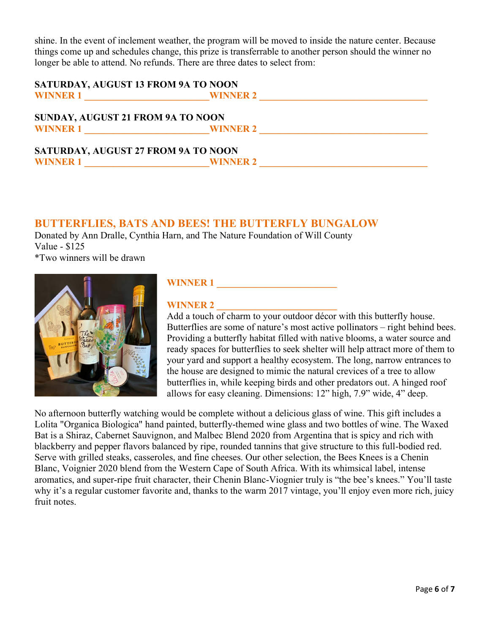shine. In the event of inclement weather, the program will be moved to inside the nature center. Because things come up and schedules change, this prize is transferrable to another person should the winner no longer be able to attend. No refunds. There are three dates to select from:

| SATURDAY, AUGUST 13 FROM 9A TO NOON                                   |                 |  |
|-----------------------------------------------------------------------|-----------------|--|
| <b>WINNER 1</b><br><u> 1986 - John Stein, Amerikaansk politiker (</u> | <b>WINNER 2</b> |  |
| SUNDAY, AUGUST 21 FROM 9A TO NOON                                     |                 |  |
| WINNER 1                                                              | <b>WINNER 2</b> |  |
| <b>SATURDAY, AUGUST 27 FROM 9A TO NOON</b>                            |                 |  |
| <b>WINNER 1</b>                                                       | <b>WINNER 2</b> |  |

## **BUTTERFLIES, BATS AND BEES! THE BUTTERFLY BUNGALOW**

Donated by Ann Dralle, Cynthia Harn, and The Nature Foundation of Will County Value - \$125 \*Two winners will be drawn



## **WINNER 1**

## **WINNER 2**

Add a touch of charm to your outdoor décor with this butterfly house. Butterflies are some of nature's most active pollinators – right behind bees. Providing a butterfly habitat filled with native blooms, a water source and ready spaces for butterflies to seek shelter will help attract more of them to your yard and support a healthy ecosystem. The long, narrow entrances to the house are designed to mimic the natural crevices of a tree to allow butterflies in, while keeping birds and other predators out. A hinged roof allows for easy cleaning. Dimensions: 12" high, 7.9" wide, 4" deep.

No afternoon butterfly watching would be complete without a delicious glass of wine. This gift includes a Lolita "Organica Biologica" hand painted, butterfly-themed wine glass and two bottles of wine. The Waxed Bat is a Shiraz, Cabernet Sauvignon, and Malbec Blend 2020 from Argentina that is spicy and rich with blackberry and pepper flavors balanced by ripe, rounded tannins that give structure to this full-bodied red. Serve with grilled steaks, casseroles, and fine cheeses. Our other selection, the Bees Knees is a Chenin Blanc, Voignier 2020 blend from the Western Cape of South Africa. With its whimsical label, intense aromatics, and super-ripe fruit character, their Chenin Blanc-Viognier truly is "the bee's knees." You'll taste why it's a regular customer favorite and, thanks to the warm 2017 vintage, you'll enjoy even more rich, juicy fruit notes.